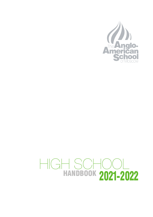

# HANDBOOK HIGH SCHOOL 2021-2022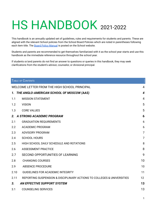# HS HANDBOOK 2021-2022

This handbook is an annually updated set of guidelines, rules and requirements for students and parents. These are aligned with the relevant School policies from the School Board Policies which are noted in parentheses following each item title. The Board Policy [Manual](https://resources.finalsite.net/images/v1591787031/aasru/jdbaprbreqajxk9rvnmu/BOARDPOLICYMANUAL2020-2021.pdf) is posted on the School website.

Students and parents are recommended to get themselves familiarized with it as the school year starts and use this handbook as the immediate reference resource throughout the school year.

If students or/and parents do not find an answer to questions or queries in this handbook, they may seek clarifications from the student's advisor, counselor, or divisional principal.

|                  | TABLE OF CONTENTS                                                      |                         |
|------------------|------------------------------------------------------------------------|-------------------------|
|                  | WELCOME LETTER FROM THE HIGH SCHOOL PRINCIPAL                          | 4                       |
|                  | 1. THE ANGLO-AMERICAN SCHOOL OF MOSCOW (AAS)                           | $\overline{\mathbf{4}}$ |
| 1.1              | <b>MISSION STATEMENT</b>                                               | 4                       |
| 1.2              | <b>VISION</b>                                                          | 5                       |
| 1.3              | <b>CORE VALUES</b>                                                     | 5                       |
|                  | 2. A STRONG ACADEMIC PROGRAM                                           | 6                       |
| 2.1              | <b>GRADUATION REQUIREMENTS</b>                                         | 6                       |
| $2.2\phantom{0}$ | <b>ACADEMIC PROGRAM</b>                                                | 6                       |
| 2.3              | <b>ADVISORY PROGRAM</b>                                                | $\overline{7}$          |
| 2.4              | <b>SCHOOL HOURS</b>                                                    | $\overline{7}$          |
| 2.5              | HIGH SCHOOL DAILY SCHEDULE AND ROTATIONS                               | 8                       |
| 2.6              | <b>ASSESSMENT PRACTICE</b>                                             | 8                       |
| 2.7              | SECOND OPPORTUNITIES OF LEARNING                                       | 9                       |
| 2.8              | <b>CHANGING COURSES</b>                                                | 10                      |
| 2.9              | <b>ABSENCE PROCEDURE</b>                                               | 10                      |
| 2.10             | <b>GUIDELINES FOR ACADEMIC INTEGRITY</b>                               | 11                      |
| 2.11             | REPORTING SUSPENSION & DISCIPLINARY ACTIONS TO COLLEGES & UNIVERSITIES | 12                      |
| 3.               | AN EFFECTIVE SUPPORT SYSTEM                                            | 13                      |
| 3.1              | <b>COUNSELING SERVICES</b>                                             | 13                      |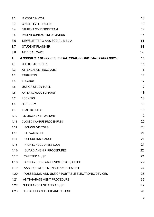| 3.2  | <b>IB COORDINATOR</b>                                     | 13 |
|------|-----------------------------------------------------------|----|
| 3.3  | <b>GRADE LEVEL LEADERS</b>                                | 13 |
| 3.4  | <b>STUDENT CONCERNS TEAM</b>                              | 14 |
| 3.5  | PARENT CONTACT INFORMATION                                | 14 |
| 3.6  | NEWSLETTER & AAS SOCIAL MEDIA                             | 14 |
| 3.7  | <b>STUDENT PLANNER</b>                                    | 14 |
| 3.8  | <b>MEDICAL CARE</b>                                       | 14 |
| 4.   | A SOUND SET OF SCHOOL OPERATIONAL POLICIES AND PROCEDURES | 16 |
| 4.1  | <b>CHILD PROTECTION</b>                                   | 16 |
| 4.2  | <b>ATTENDANCE PROCEDURE</b>                               | 16 |
| 4.3  | <b>TARDINESS</b>                                          | 17 |
| 4.4  | <b>TRUANCY</b>                                            | 17 |
| 4.5  | USE OF STUDY HALL                                         | 17 |
| 4.6  | AFTER-SCHOOL SUPPORT                                      | 18 |
| 4.7  | <b>LOCKERS</b>                                            | 18 |
| 4.8  | <b>SECURITY</b>                                           | 18 |
| 4.9  | <b>TRAFFIC RULES</b>                                      | 19 |
| 4.10 | <b>EMERGENCY SITUATIONS</b>                               | 19 |
| 4.11 | <b>CLOSED CAMPUS PROCEDURES</b>                           | 20 |
| 4.12 | <b>SCHOOL VISITORS</b>                                    | 20 |
| 4.13 | <b>ELEVATOR USE</b>                                       | 21 |
| 4.14 | <b>SCHOOL INSURANCE</b>                                   | 21 |
| 4.15 | <b>HIGH SCHOOL DRESS CODE</b>                             | 21 |
| 4.16 | <b>GUARDIANSHIP PROCEDURES</b>                            | 22 |
| 4.17 | <b>CAFETERIA USE</b>                                      | 22 |
| 4.18 | BRING-YOUR-OWN-DEVICE (BYOD) GUIDE                        | 22 |
| 4.19 | AAS DIGITAL CITIZENSHIP AGREEMENT                         | 24 |
| 4.20 | POSSESSION AND USE OF PORTABLE ELECTRONIC DEVICES         | 25 |
| 4.21 | <b>ANTI-HARASSMENT PROCEDURE</b>                          | 25 |
| 4.22 | <b>SUBSTANCE USE AND ABUSE</b>                            | 27 |
| 4.23 | <b>TOBACCO AND E-CIGARETTE USE</b>                        | 28 |
|      |                                                           |    |

2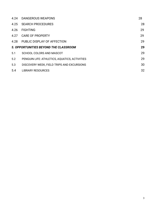| 4.24                                  | DANGEROUS WEAPONS                             | 28 |
|---------------------------------------|-----------------------------------------------|----|
| 4.25                                  | <b>SEARCH PROCEDURES</b>                      | 28 |
| 4.26                                  | <b>FIGHTING</b>                               | 29 |
|                                       | 4.27 CARE OF PROPERTY                         | 29 |
| 4.28                                  | PUBLIC DISPLAY OF AFFECTION                   | 29 |
| 5. OPPORTUNITIES BEYOND THE CLASSROOM |                                               |    |
| 5.1                                   | <b>SCHOOL COLORS AND MASCOT</b>               | 29 |
| 5.2                                   | PENGUIN LIFE: ATHLETICS, AQUATICS, ACTIVITIES | 29 |
| 5.3                                   | DISCOVERY WEEK, FIELD TRIPS AND EXCURSIONS    | 30 |
| 5.4                                   | <b>LIBRARY RESOURCES</b>                      | 32 |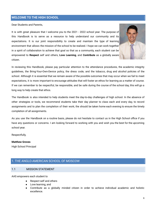# **WELCOME TO THE HIGH SCHOOL**

Dear Students and Parents,

It is with great pleasure that I welcome you to the 2021 - 2022 school year. The purpose of this Handbook is to serve as a resource to help understand our community and its expectations. It is our joint responsibility to create and maintain the type of learning environment that allows the mission of the school to be realized. I hope we can work together in a spirit of collaboration to achieve that goal so that as a community, each student can be empowered to **Respect** self and others, **Love Learning**, and **Contribute** as a globally aware citizen.



In reviewing this Handbook, please pay particular attention to the attendance procedures, the academic integrity guidelines, the Bring-Your-Own-Device policy, the dress code, and the tobacco, drug and alcohol policies of the school. Although it is essential that we remain aware of the possible outcomes that may occur when we fail to meet expectations, it is more important to encourage attitudes that will foster an ethos for learning as a matter of course. If we can remember to be respectful, be responsible, and be safe during the course of the school day, this will go a long way to help create that ethos.

The Handbook is also intended to help students meet the day-to-day challenges of high school. In the absence of other strategies or tools, we recommend students take their day planner to class each and every day, to record assignments and to plan the completion of their work; the should be taken home each evening to ensure the timely completion of all assignments.

As you use the Handbook on a routine basis, please do not hesitate to contact us in the High School office if you have any questions or concerns. I am looking forward to working with you and wish you the best for the upcoming school year.

Respectfully,

#### **Matthew Groves**

High School Principal

# <span id="page-4-0"></span>1. THE ANGLO-AMERICAN SCHOOL OF MOSCOW

#### <span id="page-4-1"></span>1.1 MISSION STATEMENT

AAS empowers each student to

- Respect self and others
- Love learning, and
- Contribute as a globally minded citizen in order to achieve individual academic and holistic excellence.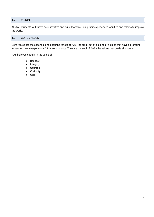# <span id="page-5-0"></span>1.2 VISION

All AAS students will thrive as innovative and agile learners, using their experiences, abilities and talents to improve the world.

# <span id="page-5-1"></span>1.3 CORE VALUES

Core values are the essential and enduring tenets of AAS, the small set of guiding principles that have a profound impact on how everyone at AAS thinks and acts. They are the soul of AAS - the values that guide all actions.

AAS believes equally in the value of

- Respect
- **Integrity**
- **Courage**
- Curiosity
- Care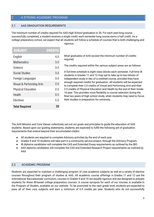# <span id="page-6-0"></span>2 A STRONG ACADEMIC PROGRAM

#### 2.1 AAS GRADUATION REQUIREMENTS

The minimum number of credits required for AAS High School graduation is 26. For each year-long course successfully completed, a student receives a single credit; each semester-long course earns a half credit. As a college preparatory school, we expect that all students will follow a schedule of courses that is both challenging and

| <b>SUBJECT</b>            | <b>CREDITS</b> |
|---------------------------|----------------|
| English                   | 4.0            |
| <b>Mathematics</b>        | 3.0            |
| Science                   | 3.0            |
| <b>Social Studies</b>     | 3.0            |
| Foreign Languages         | 3.0            |
| Visual & Performing Arts  | 2.0            |
| <b>Physical Education</b> | 2.0            |
| Health                    | 0.5            |
| <b>Electives</b>          | 5.5            |
| <b>Total Required</b>     | 26             |

rigorous.

Most graduates of AAS exceed the minimum number of credits required.

The credits required within the various subject areas are as follows:

A full-time schedule is eight class blocks each semester. Full-time IB students in Grades 11 and 12 may opt to take up to two blocks of independent study in lieu of a credited course, provided they have enough required credits for graduation. All students will be expected to complete their 2.0 credits of Visual and Performing Arts and their 2.5 credits of Physical Education and Health by the end of their Grade 10 year. This provides more flexibility in course selection during the final two years of high school study, when students may need to focus their studies in preparation for university.

The AAS Mission and Core Values collectively set out our goals and principles to guide the education of AAS students. Based upon our guiding statements, students are expected to fulfill the following set of graduation requirements that extend beyond their accumulated credits:

- All students are required to complete Advisory activities by the end of each year.
- Grades 9 and 10 students will take part in a community service project, through the Advisory Program.
- IB diploma candidates will complete the CAS and Extended Essay requirements as outlined by the IBO.
- AAS diploma candidates will complete the CAS and Extended Research Project requirements as outlined by AAS

#### <span id="page-6-1"></span>2.2 ACADEMIC PROGRAM

Students are expected to maintain a challenging program of core academic subjects as well as a variety of elective courses throughout their program of studies at AAS. All academic course offerings in Grades 11 and 12 use the International Baccalaureate curriculum; courses in Grades 9 and 10 are equally rigorous and are designed to prepare students for these IB-based college preparatory courses. A course synopsis for each of our courses is available in the Program of Studies, available on our website. To be promoted to the next grade level, students are expected to pass all of their core subjects and earn a minimum of 6.5 credits per year. Students who do not successfully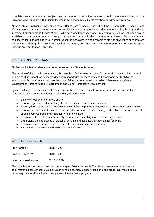complete one core academic subject may be required to earn the necessary credit before re-enrolling for the following year. Students with multiple failures in core academic subjects may have to withdraw from AAS.

All students are individually scheduled by our Counselors (Grades 9 and 10) and the IB Coordinator (Grades 11 and 12) who work to ensure proper placement in classes based on previous student records, ability, background, and interests. For students in Grades 9 or 10 who need additional assistance in learning English, an EAL Specialist is available to provide the necessary support to ensure success in the mainstream curriculum. For students with designated learning difficulties, a Learning Resource Specialist is also available to provide an elective support class for students. Through hard work and teacher assistance, students have maximum opportunity for success in the rigorous program that AAS provides.

#### <span id="page-7-0"></span>2.3 ADVISORY PROGRAM

Students will attend Advisory four times per week for a 30-minute period.

The mission of the High School Advisory Program is to facilitate each student's successful transition into, through, and out of High School. Advisory activities correspond with the standards and benchmarks set forth by the International School Counselors Association and fall under four domains: Academic Development, Career Development, Personal/Social Development, and Global Perspective Development.

By establishing a clear set of activities and assemblies that focus on self-awareness, academic practicalities, character development, and relationship building, all students will:

- Be known well by one or more adults
- Develop a genuine understanding of their identity as a university-ready student
- Assess, demonstrate and communicate their skills and potential as it relates to post-secondary endeavors
- Develop and fine-tune the skills of research, discernment, decision making, and problem-solving outside of specific subject areas and in relation to their own lives
- Be aware of their role as a community member and their obligation to community service
- Understand the importance of digital citizenship and evaluate their own digital footprint
- Be aware of and prepared for the expectations of universities and careers
- Be given the opportunity to develop practical life skills

#### 2.4 SCHOOL HOURS

| PreK - Grade 1         | 08:30-15:25     |
|------------------------|-----------------|
| Grade 2 - Grade 12     | 08:30-15:30     |
| Late start - Wednesday | $09:15 - 15:30$ |

The High School has four classes per day, averaging 80 minutes each. The class day operates on a two-day semi-rotating block schedule. We have high school assembly, advisory sessions, and grade level meetings as necessary on a rotational basis to supplement the academic program.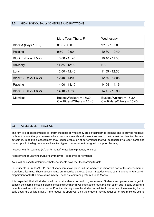# 2.5 HIGH SCHOOL DAILY SCHEDULE AND ROTATIONS

|                      | Mon, Tues, Thurs, Fri                                   | Wednesday                                               |
|----------------------|---------------------------------------------------------|---------------------------------------------------------|
| Block A (Days 1 & 2) | $8:30 - 9:50$                                           | $9:15 - 10:30$                                          |
| Passing              | $9:50 - 10:00$                                          | 10:30 - 10:40                                           |
| Block B (Days 1 & 2) | $10:00 - 11:20$                                         | 10:40 - 11:55                                           |
| Advisory             | $11:25 - 12:00$                                         | <b>NA</b>                                               |
| Lunch                | $12:00 - 12:40$                                         | $11:55 - 12:50$                                         |
| Block C (Days 1 & 2) | 12:40 - 14:00                                           | 12:50 - 14:05                                           |
| Passing              | 14:00 - 14:10                                           | 14:05 - 14:15                                           |
| Block D (Days 1 & 2) | 14:10 - 15:30                                           | 14:15 - 15:30                                           |
| <b>Dismissal</b>     | Busses/Walkers = $15:30$<br>Car Riders/Others = $15:40$ | Busses/Walkers = $15:30$<br>Car Riders/Others = $15:40$ |

# <span id="page-8-0"></span>2.6 ASSESSMENT PRACTICE

The key role of assessment is to inform students of where they are on their path to learning and to provide feedback on how to close the gap between where they are presently and where they need to be to meet the identified learning outcomes. In addition, assessment may lead to evaluation of performance that will be reported via report cards and transcripts. In the high school we have two types of assessment designed to support learning:

Assessment for Learning (AfL or formative) – academic practice/rehearsal

Assessment of Learning (AoL or summative) – academic performance

AoLs will be used to determine whether students have met the learning targets.

For students in Grades 9 – 11, end of year exams take place in June, and are an important part of the assessment of a student's learning. These assessments are recorded as AoLs. Grade 12 students take examinations in February in preparation for IB Diploma exams in May. These are commonly referred to as Mocks.

It is expected that all students will be in attendance for end of year exams. Students and parents are urged to consult the exam schedule before scheduling summer travel. If a student must miss an exam due to early departure, parents must submit a letter to the Principal stating when the student would like to depart and the reason(s) for the early departure or late arrival. If the request is approved, then the student may be required to take make-up exams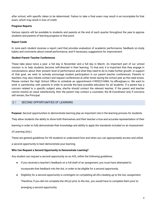after school, with specific dates to be determined. Failure to take a final exam may result in an incomplete for that exam, which may result in loss of credit.

#### **Progress Reports**

Various reports will be available to students and parents at the end of each quarter throughout the year to apprise students and parents of learning progress to that point.

#### **Report Cards**

In June each student receives a report card that provides evaluation of academic performance, feedback on study habits and comments about overall performance, and if necessary, suggestions for improvement.

#### **Student-Parent-Teacher Conferences**

These take place twice a year: a full day in November and a full day in March. An important part of our school mission is to help students become self-directed in their learning. To that end, it is important that they engage in conversations about their present level of performance and what they need to do to make further growth. In support of that goal, we wish to actively encourage student participation in our parent teacher conferences. Parents or teachers may also initiate contact and request conferences at other times during the school year as the need arises. Please contact the High School Office to schedule an appointment:+74952314484, hs.office@aas.ru. We want to work in partnership with parents in order to provide the best possible education for all students. If a parent has a concern related to a specific subject area, she/he should contact the relevant teacher. If the parent and teacher cannot resolve an issue satisfactorily, then the parent may contact a counselor, the IB Coordinator and, if concerns still remain, the Principal.

# 2.7 SECOND OPPORTUNITIES OF LEARNING

**Purpose:** Second opportunities to demonstrate learning play an important role in the learning process for students.

They allow students the ability to show both themselves and their teacher a true and accurate representation of their

learning in order to fully demonstrate their knowledge and ability to apply the standards included on an Assessment

of Learning (AoL).

These are general guidelines for HS students to understand how and when you can appropriately access and utilize

a second opportunity to best demonstrate your learning.

#### **Who Can Request a Second Opportunity to Demonstrate Learning?**

Any student can request a second opportunity on an AOL within the following guidelines:

- If you received a teacher's feedback on a full draft of an assignment, you must have attempted to incorporate that feedback into the AoL in order to be eligible for a second opportunity.
- Eligibility for a second opportunity is contingent on completing all AfLs leading up to the AoL assignment. Therefore, If you did not complete the AfL(s) prior to the AoL, you would have to complete them prior to arranging a second opportunity.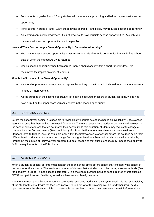- For students in grades 9 and 10, any student who scores an approaching and below may request a second opportunity.
- For students in grade 11 and 12, any student who scores a 4 and below may request a second opportunity.
- As learning continually progresses, it is not practical to have multiple second opportunities. As such, you may request a second opportunity one time per AoL.

#### **How and When Can I Arrange a Second Opportunity to Demonstrate Learning?**

- You may request a second opportunity either in-person or via electronic communication within five school days of when the marked AoL was returned.
- Once a second opportunity has been agreed upon, it should occur within a short time window. This

maximizes the impact on student learning.

#### **What is the Structure of the Second Opportunity?**

- A second opportunity does not need to reprise the entirety of the first AoL, it should focus on the areas most in need of improvement.
- As the purpose of the second opportunity is to gain an accurate measure of student learning, we do not

have a limit on the upper score you can achieve in the second opportunity.

# <span id="page-10-0"></span>2.8 CHANGING COURSES

Before the school year begins, it is possible to revise elective course selections based on availability. Once classes start, we expect that there will not be a need for change. There are cases where students, particularly those new to the school, select courses that do not match their capability. In this situation, students may request to change a course within the first two weeks (10 school days) of school. An IB student may change a course level from Standard Level to Higher Level, as available, only within the first two weeks of school before the courses begin their differentiated curriculum. Students may change from a Higher Level to a Standard Level course, when available, throughout the course of their two-year program but must recognize that such a change may impede their ability to fulfill the requirements of the IB Diploma.

# <span id="page-10-1"></span>2.9 ABSENCE PROCEDURE

When a student is absent, parents must contact the High School office before school starts to notify the school of the reason for the absence. The maximum number of classes that a student can miss during a semester is six (five for a student in Grade 12 in the second semester). This maximum number includes school-related events such as CEESA competitions and field trips, as well as illnesses and family business.

It is a requirement that all students remain current with assigned work given the days missed. It is the responsibility of the student to consult with the teachers involved to find out what the missing work is, and when it will be due upon return from the absence. While it is preferable that students contact their teachers via email before or during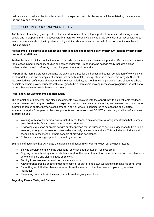their absence to make a plan for missed work, it is expected that this discussion will be initiated by the student on the first day back to school.

# 2.10 GUIDELINES FOR ACADEMIC INTEGRITY

AAS believes that integrity and positive character development are integral parts of our role in educating young people and in preparing them to successfully integrate into society as a whole. We consider it our responsibility to teach our students about the importance of high ethical standards and expect all of our community to adhere to these principles.

# All students are expected to be honest and forthright in taking responsibility for their own learning by doing their **own work, at all times.**

Student learning in high school is intended to provide the necessary academic and practical life training to be ready for success in post-secondary studies and career endeavors. Preparing to be college-ready includes a clear understanding of and conformity to the principles of academic integrity.

As part of the learning process, students are given guidelines for the honest and ethical completion of work, as well as clear definitions and examples of actions that directly violate our expectations of academic integrity. Students are provided with definitions of academic dishonesty, including, but not limited to, plagiarism and cheating. Where possible, teachers provide students with strategies to help them avoid making mistakes of plagiarism, as well as to protect themselves from involvement in cheating.

#### **Regarding Class Assignments and Homework**

The completion of homework and class assignments provides students the opportunity to gain valuable feedback on their learning and progress to date. It is expected that each student completes his/her own work. A student who submits or copies another person's assignment, in part or whole, is considered to be cheating and violates academic integrity. Examples of class assignments and homework that **DO NOT** violate the guidelines of academic integrity include:

- Working with another person, as instructed by the teacher, on a cooperative assignment when both names are affixed to the final submission for grade attribution.
- Reviewing a question or problems with another person for the purpose of getting suggestions to help find a solution, as long as the solution is worked out entirely by the student alone. This includes work done with friends, tutors, teachers, or others capable of providing assistance.
- Collecting data as a group, as instructed by a teacher.

Examples of activities that DO violate the guidelines of academic integrity include, but are not limited to:

- Solving problems or answering questions for which another student receives credit.
- Copying or paraphrasing another student's work or the work of an author, or information from the internet, in whole or in part, and claiming it as one's own.
- Turning in someone else's work as the student's own.
- Allowing/encouraging another student to copy all or part of one's own work and claim it as his or her own.
- Submitting work that has been purchased from the internet or that has been completed by another individual.
- Presenting data tables in the exact same format as group members.

#### **Regarding Exams, Tests, and Quizzes**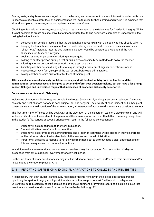Exams, tests, and quizzes are an integral part of the learning and assessment process. Information collected is used to assess a student's current level of achievement as well as to guide further learning and review. It is expected that all work completed on exams, tests, and quizzes is the student's own.

Obtaining unfair help with exams, tests, and/or quizzes is a violation of the Guidelines for Academic Integrity. While it is not possible to create an exhaustive list of inappropriate test-taking behaviors, examples of unacceptable test taking behaviors include:

- Discussing (in detail) a test/quiz that the student has not yet taken with a person who has already taken it.
- Bringing hidden notes or using unauthorized notes during a quiz or test. The mere possession of such "cheat notes" indicates intent to use them and as such would be considered a violation of the AAS Guidelines for Academic Integrity.
- Looking at another person's work during a test or quiz.
- Talking to another person during a test or quiz unless specifically permitted to do so by the teacher.
- Allowing another person to look at work during a test or a quiz.
- Assisting another person during a test or a quiz through noises, silent signals or electronic means.
- Possessing, in ANY form, a copy of the test or quiz before it is administered.
- Taking another person's quiz or test for them at their request.

All issues of academic dishonesty are taken seriously and will be dealt with by both the teacher and the **administration; consequences are designed to deter and reform poor decision-making, but can have a long range impact. Colleges and universities request that incidences of academic dishonesty be reported.**

# **Consequences for Academic Dishonesty**

Incidences of academic dishonesty are cumulative through Grades 9 -12, and apply across all subjects. A student has only one "first chance," not one in each subject, nor one per year. The severity of each incident and subsequent consequence is at the discretion of the administration; all instances of academic dishonesty are considered serious.

The first time, minor offenses will be dealt with at the discretion of the classroom teacher's discipline plan and will include notification of the incident to the parent and the administration and a written letter of warning being placed in the student's file. Serious or second offenses will result in the following consequences:

- Student will be required to redo the work in question.
- Student will attend an after-school detention.
- Student will be referred to the administration, and a letter of reprimand will be placed in their file. Parents will be informed about the incident by both the teacher and the administration.
- Parents will be asked to respond to not only this reprimand but to acknowledge a clear understanding of future consequences for continued infractions.

In addition to the above-mentioned consequences, students may be suspended from school for 1-3 days or suspended from extra-curricular involvement for a 2-week period.

Further incidents of academic dishonesty may result in additional suspensions, and/or academic probation and/or re-evaluating the student's place at AAS.

# 2.11 REPORTING SUSPENSION AND DISCIPLINARY ACTIONS TO COLLEGES AND UNIVERSITIES

It is necessary that both students and faculty represent students honestly in the college application process, upholding the spirit of integrity and high ethical standards that we promote. AAS will report to colleges and universities, as requested by college admissions offices, all pertinent information regarding discipline issues that result in a suspension or dismissal from school from Grades 9 through 12.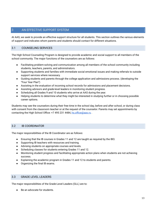# <span id="page-13-0"></span>3 AN EFFECTIVE SUPPORT SYSTEM

At AAS, we seek to provide an effective support structure for all students. This section outlines the various elements of support and indicates whom parents and students should contact for different situations.

# <span id="page-13-1"></span>3.1 COUNSELING SERVICES

The High School Counseling Program is designed to provide academic and social support to all members of the school community. The major functions of the counselors are as follows:

- Facilitating problem-solving and communication among all members of the school community including students, teachers, parents, and administrators.
- Supporting students and families with immediate social emotional issues and making referrals to outside support services where necessary.
- Guiding students and parents through the college application and admissions process. (developing the "Four Year Plan")
- Assisting in the evaluation of incoming school records for admissions and placement decisions.
- Assisting advisors and grade-level leaders in monitoring student progress.
- Scheduling all Grades 9 and 10 students who arrive at AAS during the year.
- Helping students to determine what they might be interested in studying further or in choosing possible career options.

Students may see the counselors during their free time in the school day, before and after school, or during class with consent from the classroom teacher or at the request of the counselor. Parents may set appointments by contacting the High School Office: +7 495 231 4484, [hs.office@aas.ru](mailto:hs.office@aas.ru).

# <span id="page-13-2"></span>3.2 IB COORDINATOR

The major responsibilities of the IB Coordinator are as follows:

- Ensuring that the IB courses in Grades 11 and 12 are taught as required by the IBO.
- Supporting IB teachers with resources and training.
- Advising students on appropriate courses and levels.
- Scheduling classes for students entering Grades 11 and 12.
- Monitoring student progress and facilitating appropriate action plans when students are not achieving success.
- Explaining the academic program in Grades 11 and 12 to students and parents.
- Organizing the final IB exams.

# 3.3 GRADE LEVEL LEADERS

The major responsibilities of the Grade-Level Leaders (GLL) are to:

Be an advocate for students.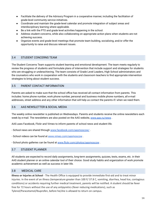- Facilitate the delivery of the Advisory Program in a cooperative manner, including the facilitation of grade-level community service initiatives.
- Coordinate and maintain the grade-level calendar and promote integration of subject areas and interdisciplinary learning where applicable.
- Be a link with the PTO and grade level activities happening in the school.
- Address student concerns, while also collaborating on appropriate action plans when students are not achieving success.
- Organize events and grade-level meetings that promote team building, socializing, and/or offer the opportunity to raise and discuss relevant issues.

# <span id="page-14-0"></span>3.4 STUDENT CONCERNS TEAM

The Student Concerns Team supports student learning and emotional development. The team meets regularly to review the progress of students and formulate plans of intervention that include support and strategies for students who are struggling or underachieving. The team consists of Grade Level Leaders, High School administrators and the counselors who work in cooperation with the students and classroom teachers to find appropriate intervention strategies to bring about student success.

# 3.5 PARENT CONTACT INFORMATION

Parents are asked to make sure that the school office has received all contact information from parents. This includes: home phone number, work phone number, personal and business mobile phone numbers, all e-mail addresses, street address and any other information that will help us contact the parents if/ when we need them.

#### 3.6 AAS NEWSLETTER & SOCIAL MEDIA

The weekly online newsletter is published on Wednesdays. Parents and students receive the online newsletters each week by e-mail. The newsletters are also posted on the AAS website, [www.aas.ru/news](http://www.aas.ru/news) .

AAS uses Facebook, Flickr and Vimeo to inform parents of school news and student life.

- School news are shared through [www.facebook.com/aasmoscow/](http://www.facebook.com/aasmoscow/).
- School videos can be found at [www.vimeo.com/aasmoscow](http://www.vimeo.com/aasmoscow) .

- School photo galleries can be found at [www.flickr.com/photos/aasmoscow](http://www.flickr.com/photos/aasmoscow) .

# 3.7 STUDENT PLANNER

All students are expected to record daily assignments, long-term assignments, quizzes, tests, exams, etc. in their AAS student planner or an online calendar tool of their choice. Good study habits and organization of work promote academic achievement as well as success in later life.

#### <span id="page-14-1"></span>3.8 MEDICAL CARE

**Illness or Injuries at School** - The Health Office is equipped to provide immediate first-aid and to treat minor injuries. In the event of an illness (temperature greater than 100 F/ 37.8 C, vomiting, diarrhea, head lice, contagious conditions) or accidents requiring further medical treatment, parents will be notified. A student should be fever free for 72 hours without the use of any antipyretics (fever reducing medications), such as Tylenol/Paracetamol/Ibuprofen, before he/she is allowed to return on campus.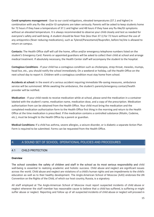**Covid symptoms management** - Due to our covid mitigations, elevated temperatures (37.1 and higher) in combination with any flu-like and/or GI symptoms are taken seriously. Parents will be asked to keep students home for 72 hours if they have a temperature of 37.1 and higher and 48 hours if they have any flu-like/GI symptoms without an elevated temperature. It is always recommended to observe your child closely and test as needed for everyone's safety and well-being. A student should be fever free (less than 37.1) for 72 hours without the use of any antipyretics (fever reducing medications), such as Tylenol/Paracetamol/Ibuprofen, before he/she is allowed to return on campus.

**Contacts:** The Health Office staff will call the home, office and/or emergency telephone numbers listed on the student's Emergency Card. Parents or appointed guardians will be asked to collect their child at school and arrange medical treatment. If absolutely necessary, the Health Center staff will accompany the student to the hospital.

**Contagious Conditions** - If your child has a contagious condition such as chickenpox, strep throat, measles, mumps, head lice, etc., you should notify the school immediately. On a weekend or holiday, call the Health Office on the next school day to report it. Children with a contagious condition must stay home from school.

**Accidents at school:** In the event of a serious accident requiring immediate life-saving measures, ambulance service will be summoned. While awaiting the ambulance, the student's parents/emergency contact/health provider will be notified.

**Medication** - If your child needs to receive medication while at school, please send the medication in a container labeled with the student's name, medication name, medication dose, and a copy of the prescription. Medication authorization from can be obtained from the Health Office. Your child must bring the medication and the completed medication authorization form to the Health Office first thing in the morning and return to the Health Office at the time medication is prescribed. If the medication contains a controlled substance (Ritalin, Codeine, etc.), must be brought to the Health Office by a parent or guardian.

**Medical Conditions:** If a child has asthma, severe allergies, a seizure disorder, or is diabetic a separate Action Plan Form is required to be submitted. Forms can be requested from the Health Office.

# <span id="page-15-0"></span>4. A SOUND SET OF SCHOOL 0PERATIONAL POLICIES AND PROCEDURES

# <span id="page-15-1"></span>4.1 CHILD PROTECTION

#### **Overview**

The school considers the safety of children and staff in the school as its most serious responsibility and child well-being is essential to realizing academic and holistic success. Child abuse and neglect are significant issues across the world. Child abuse and neglect are violations of a child's human rights and are impediments to the child's education as well as to their healthy development. The Anglo-American School of Moscow (AAS) endorses the UN Convention on the Rights of the Child, of which our host country, Russia, is a signatory.

All staff employed at The Anglo-American School of Moscow must report suspected incidents of child abuse or neglect whenever the staff member has reasonable cause to believe that a child has suffered, is suffering or might suffer abuse or neglect. Reporting and follow up of all suspected incidents of child abuse or neglect will proceed in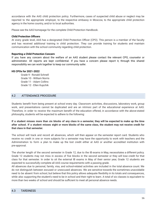accordance with the AAS child protection policy. Furthermore, cases of suspected child abuse or neglect may be reported to the appropriate employer, to the respective embassy in Moscow, to the appropriate child protection agency in the home country, and/or to local authorities.

Please see the AAS homepage for the complete Child Protection Handbook.

#### **Child Protection Officers**

At every grade level, AAS has a designated Child Protection Officer (CPO). This person is a member of the faculty and has received additional training in child protection. They can provide training for students and maintain communication with the school community regarding child protection.

#### **Reporting a Child Protection Concern**

If you have any concern about the welfare of an AAS student please contact the relevant CPO, counselor or administrator. All reports are kept confidential. If you have a concern please report it, through this shared responsibility we can work together to keep our community safer.

#### **HS CPOs for 2021-2022**

Grade 9 - Ronald Schnell Grade 10 - William Norris Grade 11 - Adam Collins Grade 12 - Ellen Kupchik

# 4.2 ATTENDANCE PROCEDURE

Students benefit from being present at school every day. Classroom activities, discussions, laboratory work, group work, and presentations cannot be duplicated and are an intrinsic part of the educational experience at AAS. Therefore, in order to receive the maximum benefit of the education offered, in accordance with the above-stated philosophy, students will be expected to adhere to the following:

If a student misses more than six blocks of any class in a semester, they will be expected to make up the time after school. If a student misses eight or more blocks of the same class, the student may not receive credit for **that class in that semester.**

The school will track and record all absences, which will then appear on the semester report card. Students who receive no credit in one or more subjects for a semester may have the opportunity to work with teachers and the Administration to form a plan to make up the lost credit either at AAS or another accredited institution with pre-approval.

The shorter length of the second semester in Grade 12, due to the IB exams in May, necessitates a different policy. Grade 12 students may not miss in excess of five blocks in the second semester or they will lose credit for that class for that semester. In order to sit the external IB exams in May of their senior year, Grade 12 students are expected to successfully complete all AAS course requirements with a passing grade.

All absences due to personal, family, visa, and school-related activities are included in the total absence count. We do not distinguish between excused or unexcused absences. We are sensitive towards the sometimes unavoidable need to be absent from school, but believe that this policy allows adequate flexibility in its totals and consequences, while also supporting the student's need to be in school and their right to learn. A total of six classes is equivalent to more than two weeks of school and should be sufficient to meet all personal absence needs.

# 4.3 TARDINESS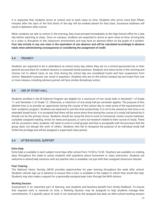It is expected that students arrive at school and to each class on time. Students who arrive more than fifteen minutes after the start of the first block of the day will be marked absent for that class. Excessive tardiness will result in detention after school.

When students are late to school in the morning, they must proceed immediately to the High School office for a late slip before reporting to class. Once on campus, students are expected to arrive at each class on time. Arriving late to a class is disruptive to the classroom environment and may have an adverse effect on the grade of a student. Four late arrivals in any one class is the equivalent of one absence and will be calculated accordingly in absence **totals when administering consequences or considering the assignment of credit.**

# 4.4 TRUANCY

Students are expected to be in attendance at school every day unless they are on a school-sponsored trip or their parents excuse them for medical reasons or essential family business. Students who leave home in the morning and choose not to attend class at any time during the school day are considered truant and face suspension from school. Repeated truancies can result in expulsion. Students who are on the school campus but are truant from one or more classes, including advisory period, will face similar disciplinary action.

# 4.5 USE OF STUDY HALL

Students enrolled in the IB Diploma Program are eligible for a maximum of two study halls in Semester 1 of Grade 11 and Semester 2 of Grade 12. Otherwise, a maximum of one study hall per semester applies. The purpose of this allotted time is to provide an opportunity during the course of the school day to meet some of the requirements of their academic program. Students are expected to use this time productively. It is not to be viewed as free time or an extended break/lunch. It is accepted that there will be some down time during the course of a study hall period but it should not be the primary focus. Students should be using the time to work on homework, review course materials, complete assigned reading, revise for tests and quizzes, or carry out research related to their course of study. There will be occasions when students will need to work in small groups and that is acceptable with the provision that the group does not disrupt the work of others. Students who fail to recognize the purpose of an individual study hall forfeit the privilege and will be assigned a supervised class period.

# 4.6 AFTER-SCHOOL SUPPORT

#### **Extra Help**

Extra help is available in each subject most days after school from 15:30 to 16:30. Teachers are available on rotating days throughout the week to assist students with questions about homework or class instruction. Students are welcome to attend help sessions with any teacher who is available, not just with their assigned classroom teacher.

#### **Peer Tutoring**

The National Honor Society (NHS) provides opportunities for peer tutoring throughout the week after school. Students should sign up in advance to ensure that a tutor is available in the subject in which they would like help. Students may also make a request for a personally-assigned peer tutor through the NHS Advisor.

#### **Working Session**

Assessment is an important part of learning, and students and teachers benefit from timely feedback. To ensure that required work is received on time, a Working Session may be assigned to help students manage their commitments. If a specific piece of work is not received by the assigned due date, an after-school working session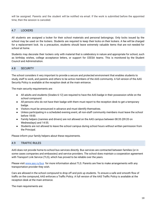will be assigned. Parents and the student will be notified via email. If the work is submitted before the appointed time, then the session is canceled.

# 4.7 LOCKERS

All students are assigned a locker for their school materials and personal belongings. Only locks issued by the school may be used on the lockers. Students are required to keep their locks on their lockers. A fee will be charged for a replacement lock. As a precaution, students should leave extremely valuable items that are not needed for school at home.

Students may decorate their lockers only with material that is celebratory in nature and appropriate for school, such as birthday wishes, college acceptance letters, or support for CEESA teams. This is monitored by the Student Council and Administration.

# 4.8 SECURITY

The school considers it very important to provide a secure and protected environment that enables students to study, staff to work, and parents and others to be active members of the AAS community. A full version of the AAS Security Policy is available at the reception desk at the main entrance.

The main security requirements are:

- All adults and students (Grades 6-12) are required to have the AAS badge in their possession while on the school compound.
- All persons who do not have their badge with them must report to the reception desk to get a temporary badge.
- Visitors must be announced in advance and must identify themselves.
- Unless participating in a scheduled evening event, all non-staff community members must leave the school before 18:00.
- Family helpers (nannies and drivers) are not allowed on the AAS campus between 08:35 (09:20 on Wednesdays) and 14:55.
- Students are not allowed to leave the school campus during school hours without written permission from the Principal.

Please inform your family helpers about these requirements.

### 4.9 TRAFFIC RULES

AAS does not provide home-to-school bus services directly. Bus services are contracted between families (or in some cases companies and embassies) and service providers. The school does maintain a cooperation agreement with Transport Link Service (TLS), which has proved to be reliable over the years.

Please visit [www.aas.ru/bus](http://www.aas.ru/bus) for more information about TLS. Parents are free to make arrangements with any transportation provider they wish.

Cars are allowed in the school compound to drop off and pick up students. To ensure a safe and smooth flow of traffic on the compound, AAS enforces a Traffic Policy. A full version of the AAS Traffic Policy is available at the reception desk at the main entrance.

The main requirements are: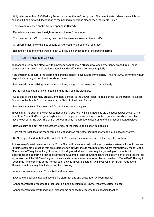• Only vehicles with an AAS Parking Permit can enter the AAS compound. The permit states where the vehicle can be parked. For a detailed description of the parking regulations please read the Traffic Policy.

• The maximum speed on the AAS compound is 10km/h.

• Pedestrians always have the right-of-way on the AAS compound.

- The direction of traffic is one-way only. Vehicles are not allowed to block traffic.
- All drivers must follow the instructions of AAS security personnel at all times.
- Repeated violations of the Traffic Policy will result in confiscation of the parking permit.

# 4.10 EMERGENCY SITUATIONS

To respond quickly and effectively to emergency situations, AAS has developed emergency procedures. Those procedures are known to all students, faculty and staff and are exercised regularly.

If an emergency occurs, a fire alarm rings and the school is evacuated immediately. The entire AAS community must respond according to the directions stated below:

- Remain calm, stop talking, listen to instructions, and go to the nearest exit immediately.
- Do NOT go against the flow of people and do NOT use the elevators.

• Go to one of the assembly areas: Elementary School - to the Lower Fields, Middle School - to the Upper Field, High School - to the Tennis Court, Administrative Staff - to the Lower Fields.

• Remain in the assembly areas until further instructions are given.

In case of an intruder on the school compound, a "Code Red" will be announced via the loudspeaker system. The aim of the "Code Red" is to get everybody out of the public areas and into a locked room as quickly as possible so they are out of harm's way. The entire AAS community must respond according to the directions stated below:

• Remain calm and get into a classroom, office, or the PTO Shop as soon as possible.

• Turn off the light, lock the room, remain silent and wait for further instructions via the loud speaker system.

• Do NOT open the door before the "ALL CLEAR" message is announced via the loud speaker system.

In the case of certain emergencies, a "Code Blue" will be announced via the loudspeaker system. All should proceed to their classrooms. Classes that are outside for an activity should return to areas where they normally meet. "Code Blue" does NOT require locking of doors or blocking of windows. It does require gathering of students into classrooms and confirming that all are present. Students are not allowed to leave the supervision of their teacher for any reason until the "All Clear" signal. Hallway and common areas are to be cleared, similar to "Code Red." The key in "Code Blue" is to continue some normal quiet activity in your classroom while you wait for further instructions. These instructions might include any of the following:

- Announcement to move to "Code Red" and lock down
- Evacuate the building (we will use the fire alarm for this and evacuation will commence)
- Announcement to evacuate to other location in the building (e.g. gyms, theaters, cafeterias, etc.)
- Announcement directly to individual classrooms or zones to evacuate to a specified location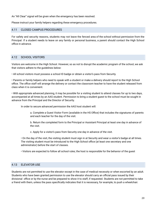An "All Clear" signal will be given when the emergency has been resolved.

Please instruct your family helpers regarding these emergency procedures.

# 4.11 CLOSED CAMPUS PROCEDURES

For safety and security reasons, students may not leave the fenced area of the school without permission from the Principal. If a student needs to leave on any family or personal business, a parent should contact the High School office in advance.

# 4.12 SCHOOL VISITORS

Visitors are welcome in the High School. However, so as not to disrupt the academic program of the school, we ask that visitors adhere to the guidelines below:

• All school visitors must possess a school ID badge or obtain a visitor's pass from Security.

• Parents or family helpers who need to speak with a student or make a delivery should report to the High School office. The office staff will arrange the delivery or contact the classroom teacher to have the student released from class when it is convenient.

• With appropriate advanced planning, it may be possible for a visiting student to attend classes for up to two days, accompanied at all times by an AAS student. Permission to bring a student guest to the school must be sought in advance from the Principal and the Director of Security.

In order to secure advanced permission the AAS host student will:

a. Complete a Guest Visitor Form (available in the HS Office) that includes the signatures of parents and each teacher for the day of the visit.

b. Return the completed form to the Principal or Assistant Principal at least one day in advance of the visit.

c. Apply for a visitor's pass from Security one day in advance of the visit.

• On the day of the visit, the visiting student must sign in at Security and wear a visitor's badge at all times. The visiting student must be introduced to the High School office (at least one secretary and one administrator) before the start of classes.

• Visitors are expected to follow all school rules; the host is responsible for the behavior of the guest

# 4.13 ELEVATOR USE

Students are not permitted to use the elevator except in the case of medical necessity or when escorted by an adult. Students who have been granted permission to use the elevator should carry an official pass issued by their divisional office or by the nurse and be prepared to show it to staff, if requested. Students are not permitted to take a friend with them, unless the pass specifically indicates that it is necessary, for example, to push a wheelchair.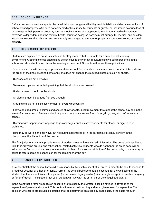# <span id="page-21-1"></span>4.14 SCHOOL INSURANCE

AAS carries insurance coverage for the usual risks such as general liability vehicle liability and damage to or loss of school-owned property. AAS does not carry medical insurance for students or guests, nor insurance covering loss of or damage to their personal property, such as mobile phones or laptop computers. Student medical insurance coverage is dependent upon the family's health insurance policy, so parents must arrange for medical and accident insurance to cover their children and are strongly encouraged to arrange for property insurance covering personal property.

# 4.15 HIGH SCHOOL DRESS CODE

Students are expected to dress in a safe and healthy manner that is suitable for a professional learning environment. Clothing choices should also be sensitive to the variety of cultures and values represented in the school and should not detract from the learning environment. Students will follow these guidelines:

• Shorts and skirts will be an appropriate length for school. Skirts and shorts cannot be shorter than 15 cm above the crook of the knee. Wearing tights or nylons does not change the required length of a skirt or shorts.

- Cleavage should not be visible.
- Sleeveless tops are permitted, providing that the shoulders are covered.
- Undergarments should not be visible.
- All clothing must be opaque (not see-through).
- Clothing should not be excessively tight or overtly provocative.

• Footwear is required at all times and should allow for safe, quick movement throughout the school day and in the event of an emergency. Students should try to ensure that shoes are free of mud, dirt, snow, etc., before entering school.

• Clothing with inappropriate language, logos or images, such as advertisements for alcohol or cigarettes, is prohibited.

• Hats may be worn in the hallways, but not during assemblies or in the cafeteria. Hats may be worn in the classroom at the discretion of the teacher.

The final judgment on the appropriateness of student dress will rest with administration. The dress code applies to field trips, traveling groups, and other school-related activities. Students who do not honor the dress code will be asked on the first occasion to secure alternative clothing. For a second violation of the dress code, students may be asked to return home on suspension for the remainder of the day.

#### <span id="page-21-0"></span>4.16 GUARDIANSHIP PROCEDURES

It is essential that the school knows who is responsible for each student at all times in order to be able to respond to a medical, security, or other emergency. Further, the school believes that it is essential for the well-being of the student that the student lives with a parent (or permanent legal guardian). Accordingly, except in a family emergency or for brief travel, it is expected that each student will live with his or her parent/s or legal guardian/s.

In the event that a family requires an exception to this policy, the Director shall be notified in advance of the separation of parent and student. This notification must be in writing and must give reason for separation. The decision whether to grant such exceptions shall be determined on a case-by-case basis. If the basis for such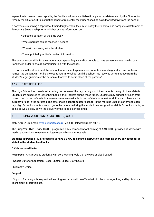separation is deemed unacceptable, the family shall have a suitable time period as determined by the Director to remedy the situation. If this situation repeats frequently, the student shall be asked to withdraw from the school.

If parents are planning a trip without their daughter/son, they must notify the Principal and complete a Statement of Temporary Guardianship form, which provides information on:

- Expected duration of the time away
- Where parents can be reached if needed
- Who will be staying with the student
- The appointed guardian's contact information.

The person responsible for the student must speak English and/or be able to have someone close by who can translate in order to ensure communication with the school.

If it comes to the attention of the school that a student's parents are not at home and a guardian has not been named, the student will not be allowed to return to school until the school has received written notice from the student's legal guardian or the person authorized to act in place of the parents."

# <span id="page-22-0"></span>4.17 CAFETERIA USE

The High School has three breaks during the course of the day, during which the students may go to the cafeteria. Students are expected to leave their bags in their lockers during these times. Students may bring their lunch from home to eat in the cafeteria. Microwave ovens are available in the cafeteria to reheat food. Russian rubles are the currency of use in the cafeteria.The cafeteria is open from before school in the morning until late afternoon each day. High School students may not go to the cafeteria during the lunch times assigned to Middle School students, as doing so would slow down the delivery of the Middle School lunch.

# 4.18 BRING-YOUR-OWN-DEVICE (BYOD) GUIDE

Web: AAS BYOD Email: [byod.support@aas.ru](mailto:byod.support@aas.ru) Visit: IT Helpdesk (room 4031)

The Bring Your Own Device (BYOD) program is a key component of Learning at AAS. BYOD provides students with ready opportunities to use technology responsibly and effectively.

#### Students in grades 5-12 are required to have a BYOD to enhance instruction and learning every day at school as **stated in the student handbooks.**

#### **AAS is responsible for:**

**Resources** - AAS provides students with core learning tools that are web or cloud-based.

• Google Suite for Education - Docs, Sheets, Slides, Drawing, etc.

• Microsoft Office

#### **Support**

• Support for using school-provided learning resources will be offered within classrooms, online, and by divisional Technology Integrationists.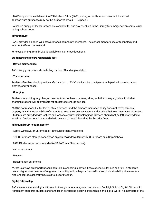• BYOD support is available at the IT Helpdesk Office (4031) during school hours or via email. Individual app/software purchases may not be supported by our IT Helpdesk.

• A limited supply of loaner laptops are available for one-day checkout in the Library for emergency, on-campus use during school hours.

#### **Infrastructure**

• AAS provides an open WiFi network for all community members. The school monitors use of technology and Internet traffic on our network.

Wireless printing from BYODs is available in numerous locations.

#### **Students/Families are responsible for\*:**

#### **• Device maintenance**

AAS strongly recommends installing routine OS and app updates.

#### **• Transportation**

Students/families should provide safe transport of BYOD devices (i.e., backpacks with padded pockets, laptop sleeves, and/or cases).

#### **• Charging**

Students must bring fully charged devices to school each morning along with their charging cable. Lockable charging stations will be available for students to charge devices.

\*AAS is not responsible for lost or stolen devices, and the school's insurance policy does not cover personal property. It is the responsibility of students to keep their devices secure and provide their own insurance protection. Students are provided with lockers and locks to secure their belongings. Devices should not be left unattended at any time. Devices found unattended will be sent to Lost & Found at the Security Desk.

# **Minimum BYOD Requirements\*\***

- Apple, Windows, or Chromebook laptop, less than 3 years old
- 128 GB or more storage capacity on an Apple/Windows laptop; 32 GB or more on a Chromebook
- 8 GB RAM or more recommended (4GB RAM in a Chromebook)
- 6+ hours battery
- Webcam
- Headphones/Earphones

\*\*Cost is always an important consideration in choosing a device. Less expensive devices can fulfill a student's needs. Higher cost devices offer greater capability and perhaps increased longevity and durability. However, even high-end laptops generally have a 3-to-4-year lifespan.

# **Digital Citizenship**

AAS develops student digital citizenship throughout our integrated curriculum. Our High School Digital Citizenship Agreement supports students and families in developing positive citizenship in the digital world. As members of the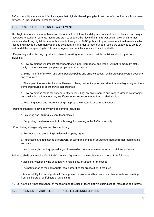AAS community, students and families agree that digital citizenship applies in and out of school, with school-owned devices, BYODs, and other personal devices

# 4.19 AAS DIGITAL CITIZENSHIP AGREEMENT

The Anglo-American School of Moscow believes that the Internet and digital devices offer vast, diverse, and unique resources to students, parents, faculty and staff to support their love of learning. Our goal in providing Internet access and utilizing digital devices with students through our BYOD policy is to promote educational excellence by facilitating innovation, communication and collaboration. In order to meet our goal, users are expected to abide by and model the accepted Digital Citizenship Agreement, which includes but is not limited to:

• Respecting and protecting myself and others by making reflective, responsible decisions about my actions including:

a. How my actions will impact other people's feelings, reputations, and work; I will not flame, bully, stalk, hack, or otherwise harm people or property, even as a joke.

b. Being mindful of my own and other people's public and private spaces; I will protect passwords, accounts, and resources.

c. The impact the websites I visit will have on others; I will not support websites that are degrading to others, pornographic, racist, or otherwise inappropriate.

d. How my actions make me appear to others, including: my online names and images, groups I start or join, personal information about me, my life, experiences, experimentation, or relationships.

e. Reporting abuse and not forwarding inappropriate materials or communications.

• Using technology to develop my love of learning, including:

a. Exploring and utilizing relevant technologies

b. Supporting the development of technology for learning in the AAS community

• Contributing as a globally aware citizen including:

a. Respecting and protecting intellectual property rights

b. Purchasing and registering all software, or using free and open source alternatives rather than pirating software

c. Not knowingly creating, uploading, or downloading computer viruses or other malicious software.

Failure to abide by the school's Digital Citizenship Agreement may result in one or more of the following:

- Disciplinary action by the Secondary Principal and/or Director of the school
- The notification to the appropriate legal authorities for prosecution, if required
- Responsibility for damages to all IT equipment, networks, and hardware or software systems resulting from deliberate or willful acts of vandalism.

NOTE: The Anglo-American School of Moscow monitors use of technology including school resources and Internet.

#### <span id="page-24-0"></span>4.20 POSSESSION AND USE OF PORTABLE ELECTRONIC DEVICES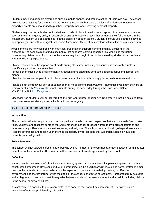Students may bring portable electronics such as mobile phones, and iPads to school at their own risk. The school takes no responsibility for them. AAS does not carry insurance that covers the loss of or damage to personal property. Parents are encouraged to purchase property insurance covering personal property.

Students may use portable electronics devices outside of class time with the exception of certain circumstances such as fire or emergency drills, an assembly, or any other activity or task that demands their full attention. In the classroom, student use of electronics is at the discretion of each teacher. Students should use electronic devices appropriately in line with our Digital Citizenship Agreement. Abuse of this privilege will result in disciplinary action.

Mobile phones are now equipped with many features that can support learning and may be useful in the classroom. The school aims to find a use policy that supports learning opportunities, while also restricting unnecessary distractions. As such, mobile phones may be brought to school and used by students in accordance with the following expectations:

• Mobile phones must be kept on silent mode during class time, including advisories and assemblies, unless specifically permitted by the teacher

• Mobile phone use during breaks or non-instructional time should be conducted in a respectful and appropriate manner

• Mobile phones are not permitted in classrooms or examination halls during quizzes, tests, or examinations.

Please do not contact your son or daughter on their mobile phone from 08:30 to 15:30 unless you know they are on a break or at lunch. You may also reach students during the school day through the High School Office: +7 495 231 4484, [hs.office@aas.ru](mailto:hs.office@aas.ru) .

Messages for students will be delivered at the first appropriate opportunity. Students will not be excused from class to make or receive a phone call unless it is an emergency.

# 4.21 ANTI-HARASSMENT PROCEDURE

#### **Introduction**

The best education takes place in a community where there is trust and respect so that everyone feels free to take risks. Students and teachers come to the Anglo-American School of Moscow from many different countries and represent many different ethnic ancestries, races, and religions. The school community will go beyond tolerance to treasure differences and to look upon them as an opportunity for learning that will enrich each individual and promote personal growth.

#### **Policy Statement**

The school will not tolerate harassment or bullying by any member of the community, student, teacher, administrator, parent, school or contract staff, or visitor on the premises or at events sponsored by the school.

#### **Definition**

Harassment is the creation of a hostile environment by speech or conduct. Not all unpleasant speech or conduct constitutes harassment. However, conduct or communication, be it verbal or written, such as notes, graffiti or e-mail, that is either intended to or reasonably could be expected to create an intimidating, hostile, or offensive environment, and thereby interfere with the goals of the school, constitutes harassment. Harassment may be subtle and ambiguous or direct and overt. It may arise between students, between a student and an adult, including visitors to the school, or between adults.

It is not therefore possible to give a complete list of conduct that constitutes harassment. The following are examples of conduct prohibited by this policy: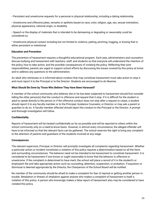• Persistent and unwelcome requests for a personal or physical relationship, including a dating relationship.

• Unwelcome and offensive jokes, remarks or epithets based on race, color, religion, age, sex, sexual orientation, physical appearance, national origin, or disability.

• Speech or the display of materials that is intended to be demeaning or degrading or reasonably could be considered so.

• Unwelcome physical contact including but not limited to violence, patting, pinching, hugging, or kissing that is either persistent or intentional.

# **Education and Prevention**

The prevention of harassment requires a thoughtful educational program. Each year, administrators and counselors discuss bullying and harassment with teachers, staff, and students so that everyone will understand the intention of the policy, how to take action, and the possible consequences of violating the policy. Reflecting their joint responsibilities, parents are urged to support school efforts by discussing the issues covered by this policy at home and to address any questions to the administration.

An adult who witnesses or is informed about conduct that may constitute harassment must take action to stop it and must report it to the Principal or to the Director. Students are encouraged to do likewise.

#### **What Should Be Done by Those Who Believe They Have Been Harassed?**

A member of the school community who believes she or he has been subjected to harassment should first consider telling the other person(s) that the conduct is offensive and request that it stop. If it is difficult for the student or adult to speak directly to the person or if the offensive conduct does not stop after a request to cease, a student should report it to any faculty member or to the Principal, Guidance Counselor, or Director, or may ask a parent or guardian to do so. A faculty member affected should report the conduct to the Principal or the Director. A prompt and thorough investigation will follow.

# **Confidentiality**

Reports of harassment will be treated confidentially as far as possible and will be reported to others within the school community only on a need-to-know basis. However, in almost every circumstance, the alleged offender will have to be informed so that the relevant facts can be gathered. The school reserves the right to bring any complaint to the attention of parents and guardians of the students involved at any stage.

#### **Consequences**

The relevant supervisor, Principal, or Director will promptly investigate all complaints regarding harassment. Whether a particular action or incident constitutes a violation of this policy requires a determination based on all the facts and surrounding circumstances. The behavior need not be intended to be harassment to constitute harassment. It is considered to be harassment if one knows or ought reasonably to know that the behavior is offensive or unwelcome. If the complaint is determined to have merit, the school will place a record of it in the student's or employee's file and take appropriate action such as counseling, detention, suspension, or probation. If expulsion or dismissal is deemed appropriate by the Director, the Chairperson of the School Board will be notified.

No member of the community should be afraid to make a complaint for fear of reprisal or getting another person in trouble. Retaliation or threats of retaliation against anyone who makes a complaint of harassment is itself a violation of this policy. A person who knowingly makes a false report of harassment also may be considered to have violated this policy.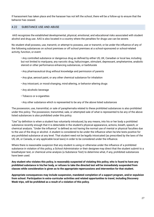If harassment has taken place and the harasser has not left the school, there will be a follow-up to ensure that the behavior has ceased.

# 4.22 SUBSTANCE USE AND ABUSE

AAS recognizes the established developmental, physical, emotional, and educational risks associated with student alcohol and drug use. AAS is also located in a country where the penalties for drugs use can be severe.

No student shall possess, use, transmit, or attempt to possess, use or transmit, or be under the influence of any of the following substances on school premises or off school premises at a school-sponsored or school-related activity, function, or event:

• Any controlled substance or dangerous drug as defined by either US, UK, Canadian or local law, including but not limited to marijuana, any narcotic drug, hallucinogen, stimulant, depressant, amphetamine, anabolic steroid or other performance enhancing substances, or barbiturate

- Any pharmaceutical drug without knowledge and permission of parents
- Any glue, aerosol paint, or any other chemical substance for inhalation
- Any intoxicant, or mood-changing, mind-altering, or behavior-altering drugs
- Any alcoholic beverage
- Tobacco or e-cigarettes
- Any other substance which is represented to be any of the above listed substances

The possession, use, transmittal, or sale of paraphernalia related to these prohibited substances is also prohibited under this policy. The possession, transmittal, sale, or attempted sale of what is represented to be any of the above listed substances is also prohibited under this policy.

"Use" by definition is when a student has voluntarily introduced, by any means, into his or her body a prohibited substance recently enough that it is detectable in the student's physical appearance, actions, breath, speech, or chemical analysis. "Under the influence" is defined as not having the normal use of mental or physical faculties due to the use of the drug or alcohol. A student is considered to be under the influence when he/she tests positive for any prohibited substance at any level. That student need not be legally intoxicated (as prescribed by the laws of the US, UK, or Canada, or any applicable local laws) in order to be considered under the influence.

Where there is reasonable suspicion that any student is using or otherwise under the influence of a prohibited substance in violation of this policy, a School Administrator or their designee may direct that the student submit to a breathalyzer test, or chemical urine analysis (a Substance Test) to determine what, if any, prohibited substances have been used.

Any student who violates this policy, is reasonably suspected of violating this policy, who is found to have any prohibited substance in his/her body, or refuses to take the directed test will be immediately suspended from **classes while consideration is given as to the appropriate repercussions and intervention for that student.**

**Appropriate consequences may include suspension, mandated completion of a support program, and/or expulsion from school. Participation in extra-curricular activities and related opportunities to travel, including Discovery Week trips, will be prohibited as a result of a violation of this policy.**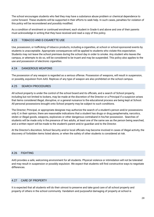The school encourages students who feel they may have a substance abuse problem or chemical dependence to come forward. These students will be supported in their efforts to seek help. In such cases, penalties for violation of this policy will be reconsidered and possibly modified.

As a condition of enrolment or continued enrolment, each student in Grade 6 and above and one of their parents must acknowledge in writing that they have received and read a copy of this policy.

# 4.23 TOBACCO AND E-CIGARETTE USE

Use, possession, or trafficking of tobacco products, including e-cigarettes, at school or school-sponsored events by students is unacceptable. Appropriate consequences will be applied to students who violate this expectation. Students may not leave the school premises during the school day in order to smoke. Any student who leaves the campus, or attempts to do so, will be considered to be truant and may be suspended. This policy also applies to the use and possession of electronic cigarettes.

# 4.24 DANGEROUS WEAPONS

The possession of any weapon is regarded as a serious offense. Possession of weapons, will result in suspension, or possibly, expulsion from AAS. Replicas of any type of weapon are also prohibited on the school campus.

# 4.25 SEARCH PROCEDURES

All school property is under the control of the school board and its officials, and a search of School property, including but not limited to lockers, may be made at the discretion of the Director or a Principal if a suspicion arises that items considered illegal, disruptive, or a general nuisance to the educational process are being kept at School. All personal possessions brought onto School property may be subject to such conditions.

The Director; Principal, or appropriate designee may authorize the search of a student's person and/or possessions only if, in their opinion, there are reasonable indications that a student has drugs or drug paraphernalia, narcotics, stolen or illegal goods, weapons, explosives or other dangerous contraband in his/her possession. Searches of students will be made only in the presence of two adults, at least one of the same sex as the person being searched, and a written report will be made to the student's parent and/or guardian and to the Director.

At the Director's discretion, School Security and/or local officials may become involved in cases of illegal activity, the discovery of forbidden items listed above, or when the safety of other students is considered at risk.

# 4.26 FIGHTING

AAS provides a safe, welcoming environment for all students. Physical violence or intimidation will not be tolerated and may result in suspension or possibly expulsion. We expect that students will find constructive ways to negotiate differences.

# 4.27 CARE OF PROPERTY

It is expected that all students will do their utmost to preserve and take good care of all school property and property of others in the school community. Vandalism and purposeful damaging of property at school is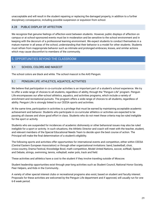unacceptable and will result in the student repairing or replacing the damaged property, in addition to a further disciplinary consequence, including possible suspension or expulsion from school.

# 4.28 PUBLIC DISPLAY OF AFFECTION

We recognize that genuine feelings of affection exist between students. However, public displays of affection on campus or at school-sponsored events must be in moderation and be sensitive to the school environment and in keeping with the decorum of a professional learning environment. We expect students to conduct themselves in a mature manner in all areas of the school, understanding that their behavior is a model for other students. Students must refrain from inappropriate behavior such as intimate and prolonged embraces, kisses, and similar actions which may cause discomfort to members of the community.

# <span id="page-29-0"></span>5. OPPORTUNITIES BEYOND THE CLASSROOM

# <span id="page-29-1"></span>5.1 SCHOOL COLORS AND MASCOT

The school colors are black and white. The school mascot is the AAS Penguin.

#### <span id="page-29-2"></span>5.2 PENGUIN LIFE: ATHLETICS, AQUATICS, ACTIVITIES

We believe that participation in co-curricular activities is an important part of a student's school experience. We try to offer a wide range of choices to all students, regardless of ability, through the "Penguin Life" program. Penguin Life encompasses our after-school athletics, aquatics, and activities programs, which include a variety of enrichment and recreational pursuits. The program offers a wide range of choices to all students, regardless of ability. Penguin Life is strongly linked to our CEESA sports and activities.

At the same time, participation in activities is a privilege that must be earned by maintaining acceptable academic achievement and behavior. Students who participate in co-curricular athletics or activities are expected to be passing all classes and show good effort in class. Students who do not meet these criteria may be ruled ineligible for the sport or activity.

Students who are suspended for incidences of academic dishonesty or other behavioral issues may also be ruled ineligible for a sport or activity. In such situations, the Athletic Director and coach will meet with the teacher, student, and relevant members of the Special Educational Needs Team to decide upon the best course of action. The Principal will make the final determination of a student's eligibility.

The following sports and activities offer opportunities for international events and competition, either within CEESA (Central Eastern European Association) or through other organizational invitations: band, basketball, choir, cross-country, Drama Festival, Knowledge Bowl, math competition, Model United Nations, soccer, softball, Speech and Debate, strings, swimming, tennis, volleyball, water polo, track and field.

These activities and athletics have a cost to the student if they involve traveling outside of Moscow.

Student leadership opportunities exist through year-long activities such as Student Council, National Honor Society, Peer Helpers, and Kids in the Community..

A variety of other special interest clubs or recreational programs also exist, based on student and faculty interest. Proposals for these activities are welcomed by the Penguin Life department and if approved, will usually run for one 6-8 week period.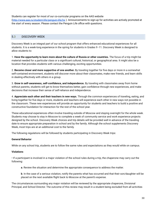Students can register for most of our co-curricular programs on the AAS website [\(http://www.aas.ru/student-life/penguin-life/hs](http://www.aas.ru/student-life/penguin-life/hs) ). Announcements to sign-up for activities are actively promoted at the start of every season. Please contact the Penguin Life office with questions.

# <span id="page-30-0"></span>5.3 DISCOVERY WEEK

Discovery Week is an integral part of our school program that offers enhanced educational experiences for all students. It is a week-long experience in the spring for students in Grades 9 -11. Discovery Week is designed to allow students to:

1. **Have the opportunity to learn more about the culture of Russia or other countries.** The focus of a trip might be material needed for a particular class or a significant cultural, historical, or geographical area. It might also be a location that provides students with various challenging, exciting opportunities.

2. **Become closer and more supportive of one another.** By traveling together for five days or more in a somewhat self-contained environment, students will discover more about their classmates, make new friends, and learn skills in dealing effectively with others in a group.

3. **Grow in self-awareness, self-confidence, and independence.** By traveling with classmates away from home without parents, students will get to know themselves better, gain confidence through new experiences, and make decisions that increase their sense of self-reliance and independence.

4. **Appreciate each other and their teachers in new ways.** Through the common experiences of traveling, eating, and living together for five days or more, students and teachers will experience each other in new ways not possible in the classroom. These new experiences will provide an opportunity for students and teachers to build a positive and constructive foundation for interaction for the rest of the school year.

These educational experiences often involve traveling outside of Moscow and staying overnight for the whole week. Students may choose to stay in Moscow to complete a week of community service and work experience projects designed by the school. Discovery Week choices and trip details will be provided well in advance of the traveling date to ensure appropriate preparation in school and by the family. Although the school supplements Discovery Week, most trips are at an additional cost to the family.

The following regulations will be followed by students participating in Discovery Week trips:

# **General Behavior**

While on any school trip, students are to follow the same rules and expectations as they would while on campus.

#### **Violations**

• If a participant is involved in a major violation of the school rules during a trip, the chaperone may carry out the following:

**a**. Review the situation and determine the appropriate consequence to address the matter.

**b**. In the case of a serious violation, notify the parents what has occurred and that their son/daughter will be placed on the next available flight back to Moscow at the parent's expense.

The circumstances surrounding any major violation will be reviewed by the appropriate chaperone, Divisional Principal, and School Director. The outcome of this review may result in a student being excluded from all activities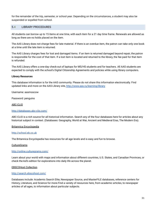for the remainder of the trip, semester, or school year. Depending on the circumstances, a student may also be suspended or expelled from school.

# 5.4 LIBRARY PROCEDURES

All students can borrow up to 15 items at one time, with each item for a 21 day time frame. Renewals are allowed as long as there are no holds placed on the item.

The AAS Library does not charge fees for late material. If there is an overdue item, the patron can take only one book at a time until the late item is returned.

The AAS Library charges fees for lost and damaged items. If an item is returned damaged beyond repair, the patron is responsible for the cost of that item. If a lost item is located and returned to the library, the fee paid for that item is refunded.

The AAS Library offers a one-day check-out of laptops for MS/HS students and for teachers. All AAS students are expected to comply with the school's Digital Citizenship Agreements and policies while using library computers.

#### **Library Resources**

This database information is for the AAS community. Please do not share this information electronically. Find updated links and more on the AAS Library site, <http://www.aas.ru/learning/library>

Username: aasmoscow

Password: penguins

#### ABC-CLIO

#### <http://databases.abc-clio.com/>

ABC-CLIO is a rich source for all historical information. Search any of the four databases here for articles about any historical subject in context. (Databases: Geography, World at War, Ancient and Medieval Eras, The Modern Era).

#### Britannica Encyclopedia

#### <http://school.eb.co.uk>

The Britannica Encyclopedia has resources for all age levels and is easy and fun to browse.

#### **CultureGrams**

#### <http://online.culturegrams.com/>

Learn about your world with maps and information about different countries, U.S. States, and Canadian Provinces, or check the kid's edition for explorations into daily life across the planet.

#### EBSCOHost Collection

#### <http://search.ebscohost.com/>

Databases include: Academic Search Elite, Newspaper Source, and MasterFILE databases, reference centers for History, Literature, and Science for more.Find a variety of resources here, from academic articles, to newspaper articles of all ages, to information about particular subjects.